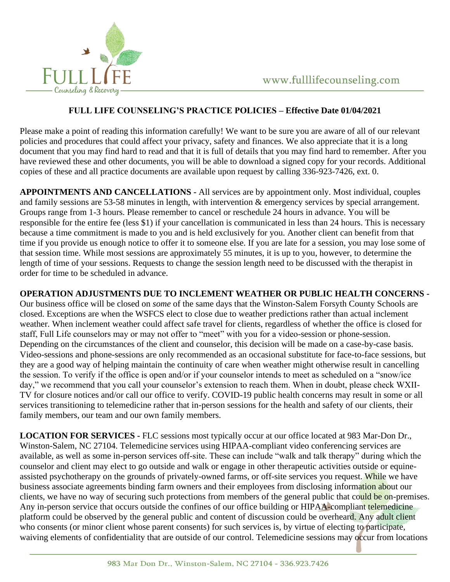

## **FULL LIFE COUNSELING'S PRACTICE POLICIES – Effective Date 01/04/2021**

Please make a point of reading this information carefully! We want to be sure you are aware of all of our relevant policies and procedures that could affect your privacy, safety and finances. We also appreciate that it is a long document that you may find hard to read and that it is full of details that you may find hard to remember. After you have reviewed these and other documents, you will be able to download a signed copy for your records. Additional copies of these and all practice documents are available upon request by calling 336-923-7426, ext. 0.

**APPOINTMENTS AND CANCELLATIONS -** All services are by appointment only. Most individual, couples and family sessions are 53-58 minutes in length, with intervention & emergency services by special arrangement. Groups range from 1-3 hours. Please remember to cancel or reschedule 24 hours in advance. You will be responsible for the entire fee (less \$1) if your cancellation is communicated in less than 24 hours. This is necessary because a time commitment is made to you and is held exclusively for you. Another client can benefit from that time if you provide us enough notice to offer it to someone else. If you are late for a session, you may lose some of that session time. While most sessions are approximately 55 minutes, it is up to you, however, to determine the length of time of your sessions. Requests to change the session length need to be discussed with the therapist in order for time to be scheduled in advance.

**OPERATION ADJUSTMENTS DUE TO INCLEMENT WEATHER OR PUBLIC HEALTH CONCERNS -** Our business office will be closed on *some* of the same days that the Winston-Salem Forsyth County Schools are closed. Exceptions are when the WSFCS elect to close due to weather predictions rather than actual inclement weather. When inclement weather could affect safe travel for clients, regardless of whether the office is closed for staff, Full Life counselors may or may not offer to "meet" with you for a video-session or phone-session. Depending on the circumstances of the client and counselor, this decision will be made on a case-by-case basis. Video-sessions and phone-sessions are only recommended as an occasional substitute for face-to-face sessions, but they are a good way of helping maintain the continuity of care when weather might otherwise result in cancelling the session. To verify if the office is open and/or if your counselor intends to meet as scheduled on a "snow/ice day," we recommend that you call your counselor's extension to reach them. When in doubt, please check WXII-TV for closure notices and/or call our office to verify. COVID-19 public health concerns may result in some or all services transitioning to telemedicine rather that in-person sessions for the health and safety of our clients, their family members, our team and our own family members.

**LOCATION FOR SERVICES -** FLC sessions most typically occur at our office located at 983 Mar-Don Dr., Winston-Salem, NC 27104. Telemedicine services using HIPAA-compliant video conferencing services are available, as well as some in-person services off-site. These can include "walk and talk therapy" during which the counselor and client may elect to go outside and walk or engage in other therapeutic activities outside or equineassisted psychotherapy on the grounds of privately-owned farms, or off-site services you request. While we have business associate agreements binding farm owners and their employees from disclosing information about our clients, we have no way of securing such protections from members of the general public that could be on-premises. Any in-person service that occurs outside the confines of our office building or HIPAA-compliant telemedicine platform could be observed by the general public and content of discussion could be overheard. Any adult client who consents (or minor client whose parent consents) for such services is, by virtue of electing to participate, waiving elements of confidentiality that are outside of our control. Telemedicine sessions may occur from locations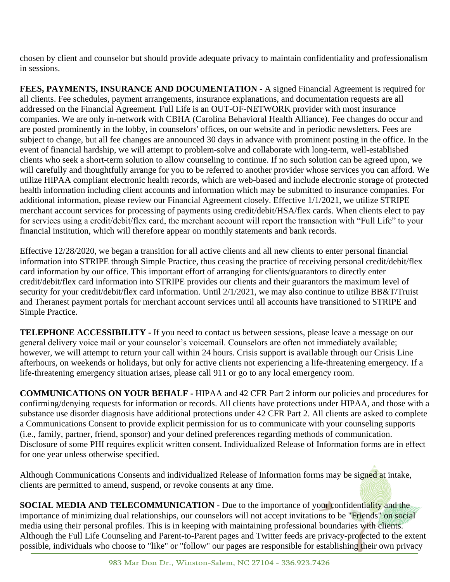chosen by client and counselor but should provide adequate privacy to maintain confidentiality and professionalism in sessions.

**FEES, PAYMENTS, INSURANCE AND DOCUMENTATION -** A signed Financial Agreement is required for all clients. Fee schedules, payment arrangements, insurance explanations, and documentation requests are all addressed on the Financial Agreement. Full Life is an OUT-OF-NETWORK provider with most insurance companies. We are only in-network with CBHA (Carolina Behavioral Health Alliance). Fee changes do occur and are posted prominently in the lobby, in counselors' offices, on our website and in periodic newsletters. Fees are subject to change, but all fee changes are announced 30 days in advance with prominent posting in the office. In the event of financial hardship, we will attempt to problem-solve and collaborate with long-term, well-established clients who seek a short-term solution to allow counseling to continue. If no such solution can be agreed upon, we will carefully and thoughtfully arrange for you to be referred to another provider whose services you can afford. We utilize HIPAA compliant electronic health records, which are web-based and include electronic storage of protected health information including client accounts and information which may be submitted to insurance companies. For additional information, please review our Financial Agreement closely. Effective 1/1/2021, we utilize STRIPE merchant account services for processing of payments using credit/debit/HSA/flex cards. When clients elect to pay for services using a credit/debit/flex card, the merchant account will report the transaction with "Full Life" to your financial institution, which will therefore appear on monthly statements and bank records.

Effective 12/28/2020, we began a transition for all active clients and all new clients to enter personal financial information into STRIPE through Simple Practice, thus ceasing the practice of receiving personal credit/debit/flex card information by our office. This important effort of arranging for clients/guarantors to directly enter credit/debit/flex card information into STRIPE provides our clients and their guarantors the maximum level of security for your credit/debit/flex card information. Until 2/1/2021, we may also continue to utilize BB&T/Truist and Theranest payment portals for merchant account services until all accounts have transitioned to STRIPE and Simple Practice.

**TELEPHONE ACCESSIBILITY -** If you need to contact us between sessions, please leave a message on our general delivery voice mail or your counselor's voicemail. Counselors are often not immediately available; however, we will attempt to return your call within 24 hours. Crisis support is available through our Crisis Line afterhours, on weekends or holidays, but only for active clients not experiencing a life-threatening emergency. If a life-threatening emergency situation arises, please call 911 or go to any local emergency room.

**COMMUNICATIONS ON YOUR BEHALF -** HIPAA and 42 CFR Part 2 inform our policies and procedures for confirming/denying requests for information or records. All clients have protections under HIPAA, and those with a substance use disorder diagnosis have additional protections under 42 CFR Part 2. All clients are asked to complete a Communications Consent to provide explicit permission for us to communicate with your counseling supports (i.e., family, partner, friend, sponsor) and your defined preferences regarding methods of communication. Disclosure of some PHI requires explicit written consent. Individualized Release of Information forms are in effect for one year unless otherwise specified.

Although Communications Consents and individualized Release of Information forms may be signed at intake, clients are permitted to amend, suspend, or revoke consents at any time.

**SOCIAL MEDIA AND TELECOMMUNICATION -** Due to the importance of your confidentiality and the importance of minimizing dual relationships, our counselors will not accept invitations to be "Friends" on social media using their personal profiles. This is in keeping with maintaining professional boundaries with clients. Although the Full Life Counseling and Parent-to-Parent pages and Twitter feeds are privacy-protected to the extent possible, individuals who choose to "like" or "follow" our pages are responsible for establishing their own privacy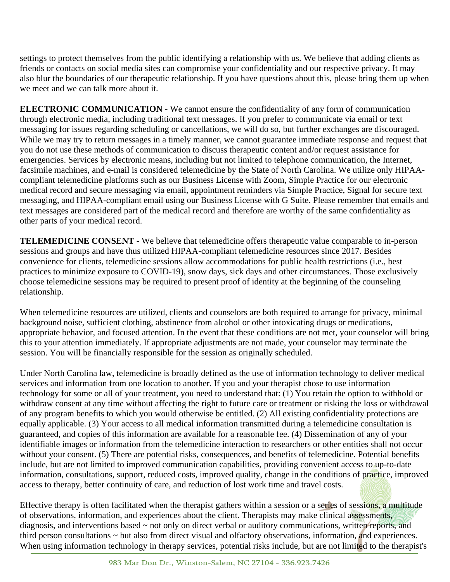settings to protect themselves from the public identifying a relationship with us. We believe that adding clients as friends or contacts on social media sites can compromise your confidentiality and our respective privacy. It may also blur the boundaries of our therapeutic relationship. If you have questions about this, please bring them up when we meet and we can talk more about it.

**ELECTRONIC COMMUNICATION -** We cannot ensure the confidentiality of any form of communication through electronic media, including traditional text messages. If you prefer to communicate via email or text messaging for issues regarding scheduling or cancellations, we will do so, but further exchanges are discouraged. While we may try to return messages in a timely manner, we cannot guarantee immediate response and request that you do not use these methods of communication to discuss therapeutic content and/or request assistance for emergencies. Services by electronic means, including but not limited to telephone communication, the Internet, facsimile machines, and e-mail is considered telemedicine by the State of North Carolina. We utilize only HIPAAcompliant telemedicine platforms such as our Business License with Zoom, Simple Practice for our electronic medical record and secure messaging via email, appointment reminders via Simple Practice, Signal for secure text messaging, and HIPAA-compliant email using our Business License with G Suite. Please remember that emails and text messages are considered part of the medical record and therefore are worthy of the same confidentiality as other parts of your medical record.

**TELEMEDICINE CONSENT -** We believe that telemedicine offers therapeutic value comparable to in-person sessions and groups and have thus utilized HIPAA-compliant telemedicine resources since 2017. Besides convenience for clients, telemedicine sessions allow accommodations for public health restrictions (i.e., best practices to minimize exposure to COVID-19), snow days, sick days and other circumstances. Those exclusively choose telemedicine sessions may be required to present proof of identity at the beginning of the counseling relationship.

When telemedicine resources are utilized, clients and counselors are both required to arrange for privacy, minimal background noise, sufficient clothing, abstinence from alcohol or other intoxicating drugs or medications, appropriate behavior, and focused attention. In the event that these conditions are not met, your counselor will bring this to your attention immediately. If appropriate adjustments are not made, your counselor may terminate the session. You will be financially responsible for the session as originally scheduled.

Under North Carolina law, telemedicine is broadly defined as the use of information technology to deliver medical services and information from one location to another. If you and your therapist chose to use information technology for some or all of your treatment, you need to understand that: (1) You retain the option to withhold or withdraw consent at any time without affecting the right to future care or treatment or risking the loss or withdrawal of any program benefits to which you would otherwise be entitled. (2) All existing confidentiality protections are equally applicable. (3) Your access to all medical information transmitted during a telemedicine consultation is guaranteed, and copies of this information are available for a reasonable fee. (4) Dissemination of any of your identifiable images or information from the telemedicine interaction to researchers or other entities shall not occur without your consent. (5) There are potential risks, consequences, and benefits of telemedicine. Potential benefits include, but are not limited to improved communication capabilities, providing convenient access to up-to-date information, consultations, support, reduced costs, improved quality, change in the conditions of practice, improved access to therapy, better continuity of care, and reduction of lost work time and travel costs.

Effective therapy is often facilitated when the therapist gathers within a session or a series of sessions, a multitude of observations, information, and experiences about the client. Therapists may make clinical assessments, diagnosis, and interventions based ~ not only on direct verbal or auditory communications, written reports, and third person consultations ~ but also from direct visual and olfactory observations, information, and experiences. When using information technology in therapy services, potential risks include, but are not limited to the therapist's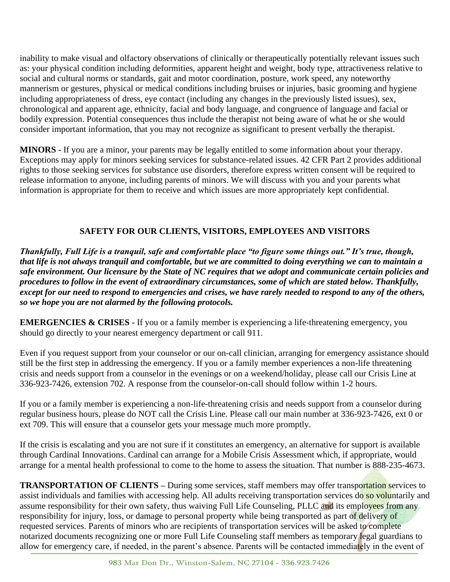inability to make visual and olfactory observations of clinically or therapeutically potentially relevant issues such as: your physical condition including deformities, apparent height and weight, body type, attractiveness relative to social and cultural norms or standards, gait and motor coordination, posture, work speed, any noteworthy mannerism or gestures, physical or medical conditions including bruises or injuries, basic grooming and hygiene including appropriateness of dress, eye contact (including any changes in the previously listed issues), sex, chronological and apparent age, ethnicity, facial and body language, and congruence of language and facial or bodily expression. Potential consequences thus include the therapist not being aware of what he or she would consider important information, that you may not recognize as significant to present verbally the therapist.

**MINORS -** If you are a minor, your parents may be legally entitled to some information about your therapy. Exceptions may apply for minors seeking services for substance-related issues. 42 CFR Part 2 provides additional rights to those seeking services for substance use disorders, therefore express written consent will be required to release information to anyone, including parents of minors. We will discuss with you and your parents what information is appropriate for them to receive and which issues are more appropriately kept confidential.

## **SAFETY FOR OUR CLIENTS, VISITORS, EMPLOYEES AND VISITORS**

*Thankfully, Full Life is a tranquil, safe and comfortable place "to figure some things out." It's true, though, that life is not always tranquil and comfortable, but we are committed to doing everything we can to maintain a safe environment. Our licensure by the State of NC requires that we adopt and communicate certain policies and procedures to follow in the event of extraordinary circumstances, some of which are stated below. Thankfully, except for our need to respond to emergencies and crises, we have rarely needed to respond to any of the others, so we hope you are not alarmed by the following protocols.*

**EMERGENCIES & CRISES -** If you or a family member is experiencing a life-threatening emergency, you should go directly to your nearest emergency department or call 911.

Even if you request support from your counselor or our on-call clinician, arranging for emergency assistance should still be the first step in addressing the emergency. If you or a family member experiences a non-life threatening crisis and needs support from a counselor in the evenings or on a weekend/holiday, please call our Crisis Line at 336-923-7426, extension 702. A response from the counselor-on-call should follow within 1-2 hours.

If you or a family member is experiencing a non-life-threatening crisis and needs support from a counselor during regular business hours, please do NOT call the Crisis Line. Please call our main number at 336-923-7426, ext 0 or ext 709. This will ensure that a counselor gets your message much more promptly.

If the crisis is escalating and you are not sure if it constitutes an emergency, an alternative for support is available through Cardinal Innovations. Cardinal can arrange for a Mobile Crisis Assessment which, if appropriate, would arrange for a mental health professional to come to the home to assess the situation. That number is 888-235-4673.

**TRANSPORTATION OF CLIENTS –** During some services, staff members may offer transportation services to assist individuals and families with accessing help. All adults receiving transportation services do so voluntarily and assume responsibility for their own safety, thus waiving Full Life Counseling, PLLC and its employees from any responsibility for injury, loss, or damage to personal property while being transported as part of delivery of requested services. Parents of minors who are recipients of transportation services will be asked to complete notarized documents recognizing one or more Full Life Counseling staff members as temporary legal guardians to allow for emergency care, if needed, in the parent's absence. Parents will be contacted immediately in the event of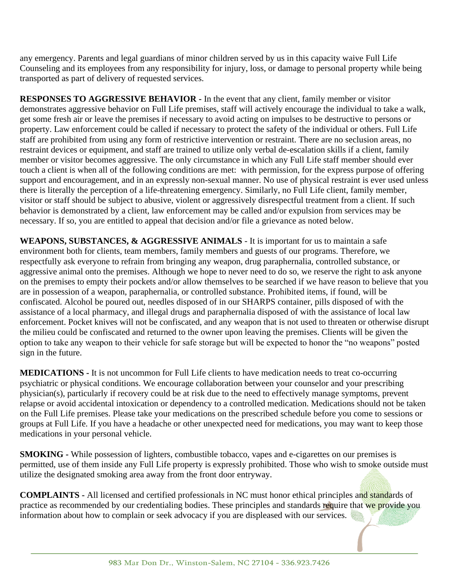any emergency. Parents and legal guardians of minor children served by us in this capacity waive Full Life Counseling and its employees from any responsibility for injury, loss, or damage to personal property while being transported as part of delivery of requested services.

**RESPONSES TO AGGRESSIVE BEHAVIOR -** In the event that any client, family member or visitor demonstrates aggressive behavior on Full Life premises, staff will actively encourage the individual to take a walk, get some fresh air or leave the premises if necessary to avoid acting on impulses to be destructive to persons or property. Law enforcement could be called if necessary to protect the safety of the individual or others. Full Life staff are prohibited from using any form of restrictive intervention or restraint. There are no seclusion areas, no restraint devices or equipment, and staff are trained to utilize only verbal de-escalation skills if a client, family member or visitor becomes aggressive. The only circumstance in which any Full Life staff member should ever touch a client is when all of the following conditions are met: with permission, for the express purpose of offering support and encouragement, and in an expressly non-sexual manner. No use of physical restraint is ever used unless there is literally the perception of a life-threatening emergency. Similarly, no Full Life client, family member, visitor or staff should be subject to abusive, violent or aggressively disrespectful treatment from a client. If such behavior is demonstrated by a client, law enforcement may be called and/or expulsion from services may be necessary. If so, you are entitled to appeal that decision and/or file a grievance as noted below.

WEAPONS, SUBSTANCES, & AGGRESSIVE ANIMALS - It is important for us to maintain a safe environment both for clients, team members, family members and guests of our programs. Therefore, we respectfully ask everyone to refrain from bringing any weapon, drug paraphernalia, controlled substance, or aggressive animal onto the premises. Although we hope to never need to do so, we reserve the right to ask anyone on the premises to empty their pockets and/or allow themselves to be searched if we have reason to believe that you are in possession of a weapon, paraphernalia, or controlled substance. Prohibited items, if found, will be confiscated. Alcohol be poured out, needles disposed of in our SHARPS container, pills disposed of with the assistance of a local pharmacy, and illegal drugs and paraphernalia disposed of with the assistance of local law enforcement. Pocket knives will not be confiscated, and any weapon that is not used to threaten or otherwise disrupt the milieu could be confiscated and returned to the owner upon leaving the premises. Clients will be given the option to take any weapon to their vehicle for safe storage but will be expected to honor the "no weapons" posted sign in the future.

**MEDICATIONS -** It is not uncommon for Full Life clients to have medication needs to treat co-occurring psychiatric or physical conditions. We encourage collaboration between your counselor and your prescribing physician(s), particularly if recovery could be at risk due to the need to effectively manage symptoms, prevent relapse or avoid accidental intoxication or dependency to a controlled medication. Medications should not be taken on the Full Life premises. Please take your medications on the prescribed schedule before you come to sessions or groups at Full Life. If you have a headache or other unexpected need for medications, you may want to keep those medications in your personal vehicle.

**SMOKING -** While possession of lighters, combustible tobacco, vapes and e-cigarettes on our premises is permitted, use of them inside any Full Life property is expressly prohibited. Those who wish to smoke outside must utilize the designated smoking area away from the front door entryway.

**COMPLAINTS -** All licensed and certified professionals in NC must honor ethical principles and standards of practice as recommended by our credentialing bodies. These principles and standards require that we provide you information about how to complain or seek advocacy if you are displeased with our services.